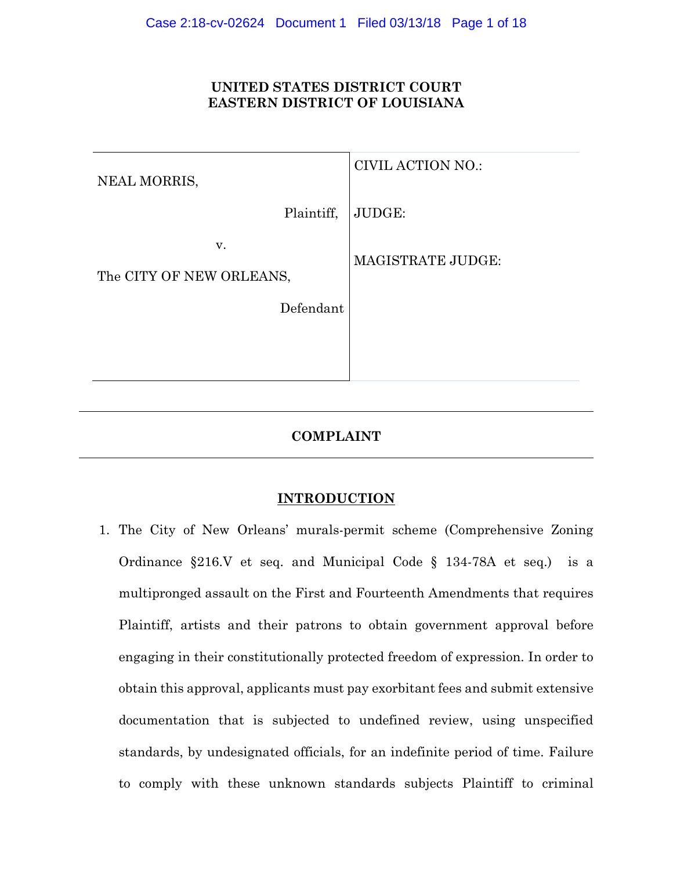# **UNITED STATES DISTRICT COURT EASTERN DISTRICT OF LOUISIANA**

| NEAL MORRIS,                   | <b>CIVIL ACTION NO.:</b> |
|--------------------------------|--------------------------|
| Plaintiff,                     | JUDGE:                   |
| V.<br>The CITY OF NEW ORLEANS, | <b>MAGISTRATE JUDGE:</b> |
| Defendant                      |                          |
|                                |                          |
|                                |                          |

# **COMPLAINT**

# **INTRODUCTION**

1. The City of New Orleans' murals-permit scheme (Comprehensive Zoning Ordinance §216.V et seq. and Municipal Code § 134-78A et seq.) is a multipronged assault on the First and Fourteenth Amendments that requires Plaintiff, artists and their patrons to obtain government approval before engaging in their constitutionally protected freedom of expression. In order to obtain this approval, applicants must pay exorbitant fees and submit extensive documentation that is subjected to undefined review, using unspecified standards, by undesignated officials, for an indefinite period of time. Failure to comply with these unknown standards subjects Plaintiff to criminal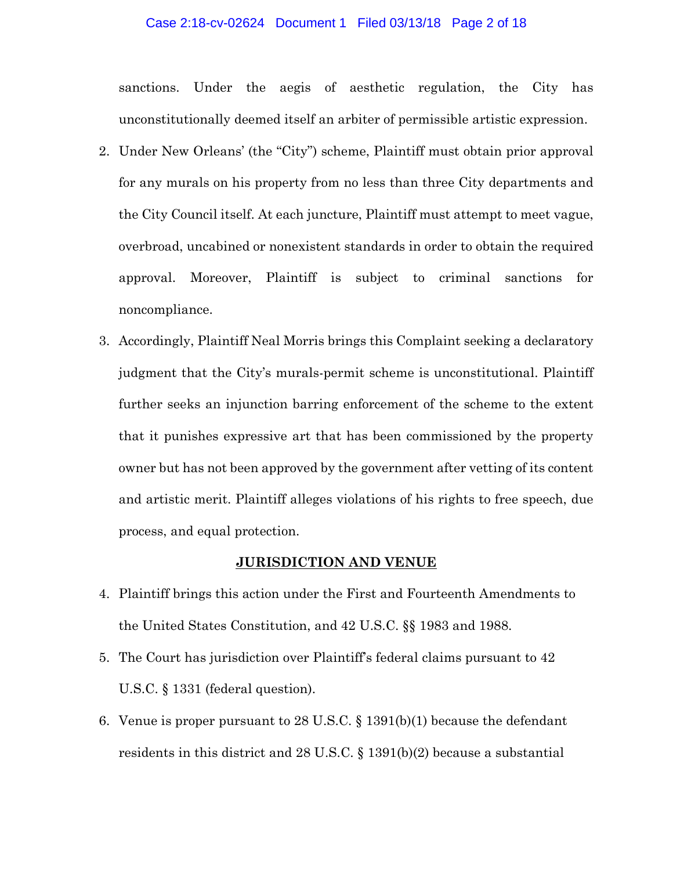#### Case 2:18-cv-02624 Document 1 Filed 03/13/18 Page 2 of 18

sanctions. Under the aegis of aesthetic regulation, the City has unconstitutionally deemed itself an arbiter of permissible artistic expression.

- 2. Under New Orleans' (the "City") scheme, Plaintiff must obtain prior approval for any murals on his property from no less than three City departments and the City Council itself. At each juncture, Plaintiff must attempt to meet vague, overbroad, uncabined or nonexistent standards in order to obtain the required approval. Moreover, Plaintiff is subject to criminal sanctions for noncompliance.
- 3. Accordingly, Plaintiff Neal Morris brings this Complaint seeking a declaratory judgment that the City's murals-permit scheme is unconstitutional. Plaintiff further seeks an injunction barring enforcement of the scheme to the extent that it punishes expressive art that has been commissioned by the property owner but has not been approved by the government after vetting of its content and artistic merit. Plaintiff alleges violations of his rights to free speech, due process, and equal protection.

#### **JURISDICTION AND VENUE**

- 4. Plaintiff brings this action under the First and Fourteenth Amendments to the United States Constitution, and 42 U.S.C. §§ 1983 and 1988.
- 5. The Court has jurisdiction over Plaintiff's federal claims pursuant to 42 U.S.C. § 1331 (federal question).
- 6. Venue is proper pursuant to 28 U.S.C. § 1391(b)(1) because the defendant residents in this district and 28 U.S.C. § 1391(b)(2) because a substantial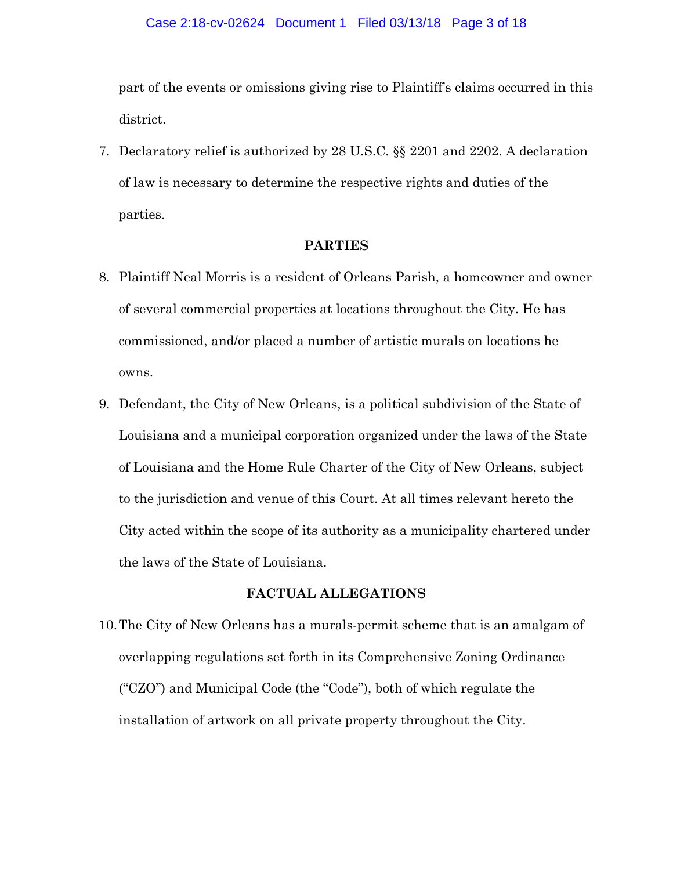part of the events or omissions giving rise to Plaintiff's claims occurred in this district.

7. Declaratory relief is authorized by 28 U.S.C. §§ 2201 and 2202. A declaration of law is necessary to determine the respective rights and duties of the parties.

## **PARTIES**

- 8. Plaintiff Neal Morris is a resident of Orleans Parish, a homeowner and owner of several commercial properties at locations throughout the City. He has commissioned, and/or placed a number of artistic murals on locations he owns.
- 9. Defendant, the City of New Orleans, is a political subdivision of the State of Louisiana and a municipal corporation organized under the laws of the State of Louisiana and the Home Rule Charter of the City of New Orleans, subject to the jurisdiction and venue of this Court. At all times relevant hereto the City acted within the scope of its authority as a municipality chartered under the laws of the State of Louisiana.

## **FACTUAL ALLEGATIONS**

10.The City of New Orleans has a murals-permit scheme that is an amalgam of overlapping regulations set forth in its Comprehensive Zoning Ordinance ("CZO") and Municipal Code (the "Code"), both of which regulate the installation of artwork on all private property throughout the City.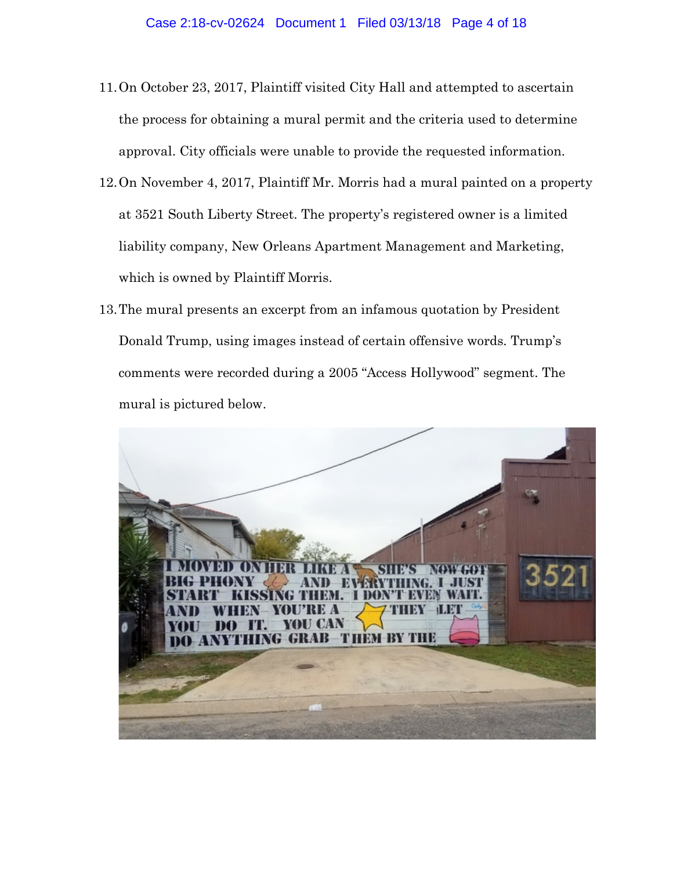- 11.On October 23, 2017, Plaintiff visited City Hall and attempted to ascertain the process for obtaining a mural permit and the criteria used to determine approval. City officials were unable to provide the requested information.
- 12.On November 4, 2017, Plaintiff Mr. Morris had a mural painted on a property at 3521 South Liberty Street. The property's registered owner is a limited liability company, New Orleans Apartment Management and Marketing, which is owned by Plaintiff Morris.
- 13.The mural presents an excerpt from an infamous quotation by President Donald Trump, using images instead of certain offensive words. Trump's comments were recorded during a 2005 "Access Hollywood" segment. The mural is pictured below.

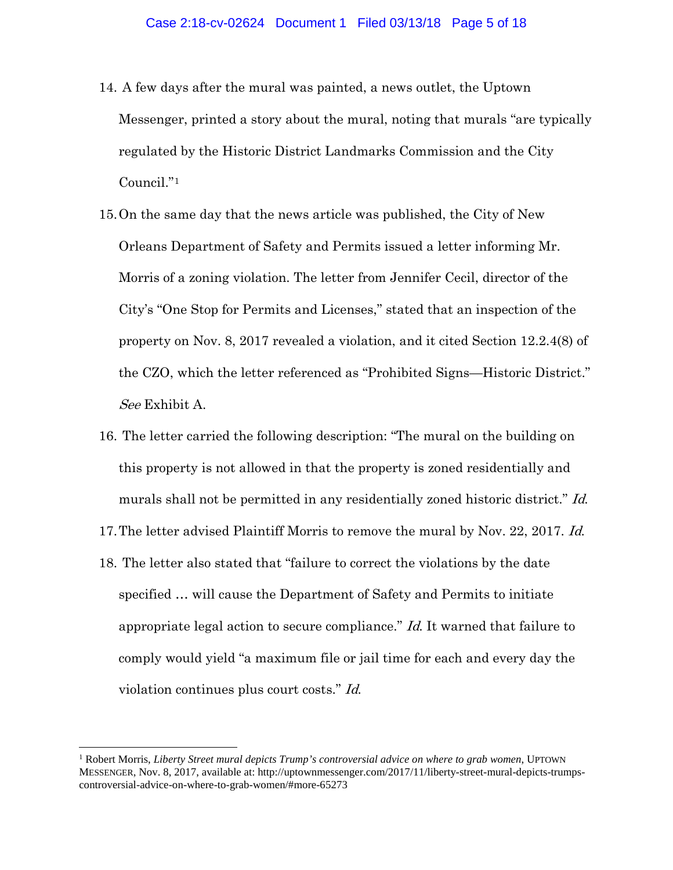- 14. A few days after the mural was painted, a news outlet, the Uptown Messenger, printed a story about the mural, noting that murals "are typically regulated by the Historic District Landmarks Commission and the City Council."[1](#page-4-0)
- 15.On the same day that the news article was published, the City of New Orleans Department of Safety and Permits issued a letter informing Mr. Morris of a zoning violation. The letter from Jennifer Cecil, director of the City's "One Stop for Permits and Licenses," stated that an inspection of the property on Nov. 8, 2017 revealed a violation, and it cited Section 12.2.4(8) of the CZO, which the letter referenced as "Prohibited Signs—Historic District." See Exhibit A.
- 16. The letter carried the following description: "The mural on the building on this property is not allowed in that the property is zoned residentially and murals shall not be permitted in any residentially zoned historic district." Id.
- 17. The letter advised Plaintiff Morris to remove the mural by Nov. 22, 2017. Id.
- 18. The letter also stated that "failure to correct the violations by the date specified … will cause the Department of Safety and Permits to initiate appropriate legal action to secure compliance." Id. It warned that failure to comply would yield "a maximum file or jail time for each and every day the violation continues plus court costs." Id.

<span id="page-4-0"></span> <sup>1</sup> Robert Morris, *Liberty Street mural depicts Trump's controversial advice on where to grab women*, UPTOWN MESSENGER, Nov. 8, 2017, available at: http://uptownmessenger.com/2017/11/liberty-street-mural-depicts-trumpscontroversial-advice-on-where-to-grab-women/#more-65273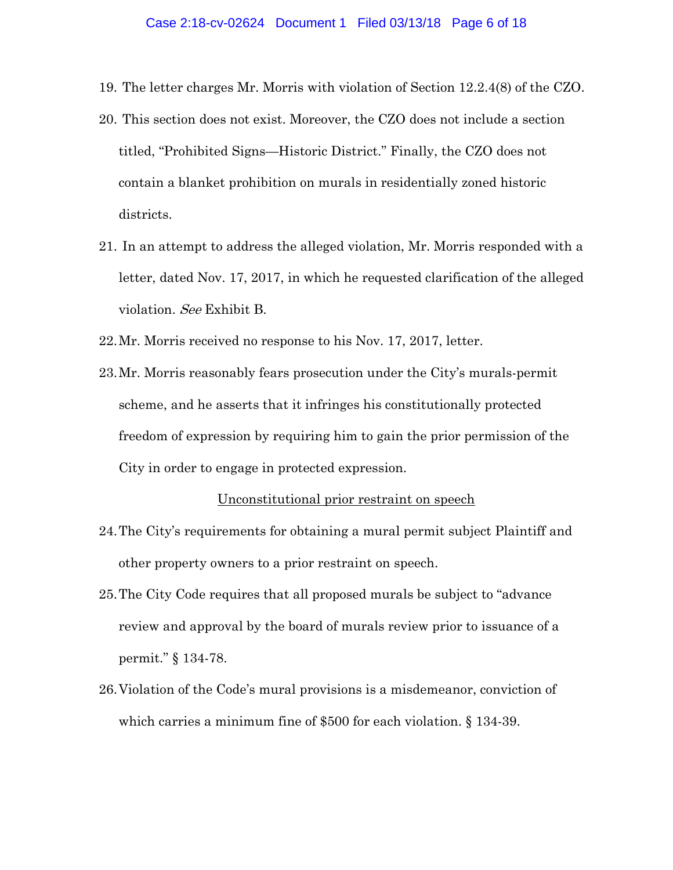- 19. The letter charges Mr. Morris with violation of Section 12.2.4(8) of the CZO.
- 20. This section does not exist. Moreover, the CZO does not include a section titled, "Prohibited Signs—Historic District." Finally, the CZO does not contain a blanket prohibition on murals in residentially zoned historic districts.
- 21. In an attempt to address the alleged violation, Mr. Morris responded with a letter, dated Nov. 17, 2017, in which he requested clarification of the alleged violation. See Exhibit B.
- 22.Mr. Morris received no response to his Nov. 17, 2017, letter.
- 23.Mr. Morris reasonably fears prosecution under the City's murals-permit scheme, and he asserts that it infringes his constitutionally protected freedom of expression by requiring him to gain the prior permission of the City in order to engage in protected expression.

#### Unconstitutional prior restraint on speech

- 24.The City's requirements for obtaining a mural permit subject Plaintiff and other property owners to a prior restraint on speech.
- 25.The City Code requires that all proposed murals be subject to "advance review and approval by the board of murals review prior to issuance of a permit." § 134-78.
- 26.Violation of the Code's mural provisions is a misdemeanor, conviction of which carries a minimum fine of \$500 for each violation. § 134-39.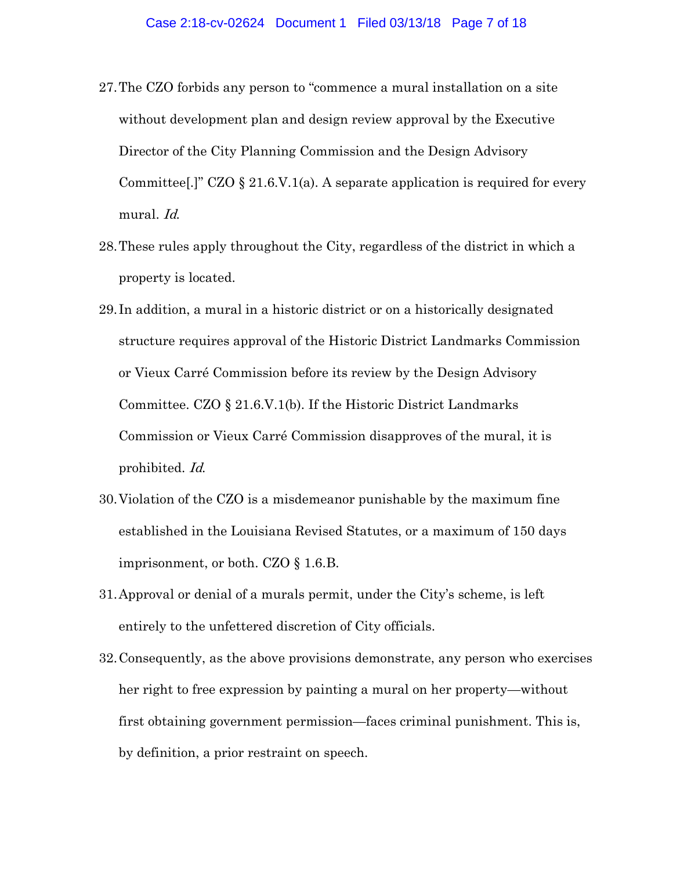- 27.The CZO forbids any person to "commence a mural installation on a site without development plan and design review approval by the Executive Director of the City Planning Commission and the Design Advisory Committee[.]" CZO  $\S 21.6$ . V. 1(a). A separate application is required for every mural. Id.
- 28.These rules apply throughout the City, regardless of the district in which a property is located.
- 29. In addition, a mural in a historic district or on a historically designated structure requires approval of the Historic District Landmarks Commission or Vieux Carré Commission before its review by the Design Advisory Committee. CZO § 21.6.V.1(b). If the Historic District Landmarks Commission or Vieux Carré Commission disapproves of the mural, it is prohibited. Id.
- 30.Violation of the CZO is a misdemeanor punishable by the maximum fine established in the Louisiana Revised Statutes, or a maximum of 150 days imprisonment, or both. CZO § 1.6.B.
- 31.Approval or denial of a murals permit, under the City's scheme, is left entirely to the unfettered discretion of City officials.
- 32.Consequently, as the above provisions demonstrate, any person who exercises her right to free expression by painting a mural on her property—without first obtaining government permission—faces criminal punishment. This is, by definition, a prior restraint on speech.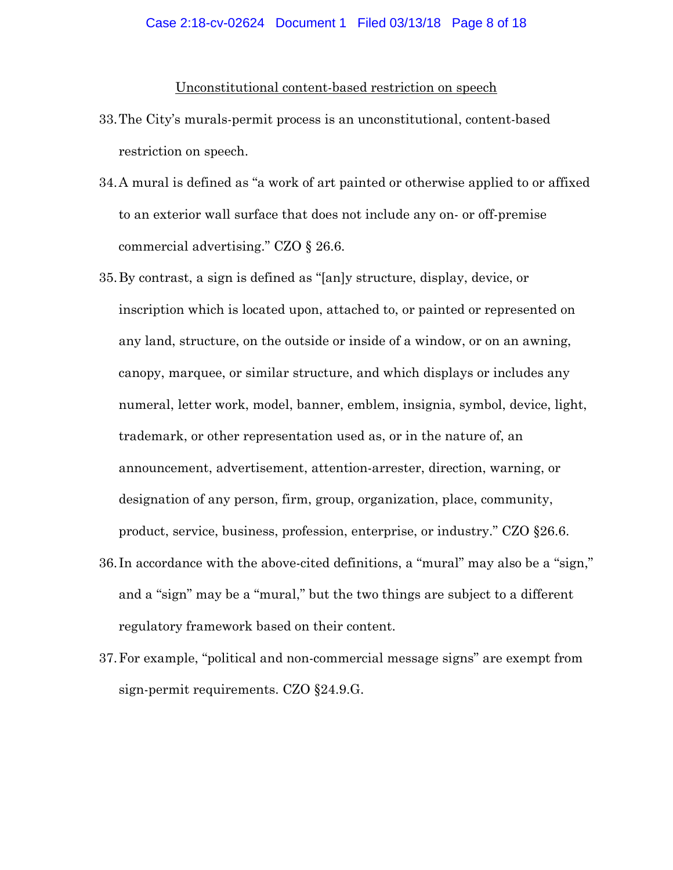#### Unconstitutional content-based restriction on speech

- 33.The City's murals-permit process is an unconstitutional, content-based restriction on speech.
- 34.A mural is defined as "a work of art painted or otherwise applied to or affixed to an exterior wall surface that does not include any on- or off-premise commercial advertising." CZO § 26.6.
- 35.By contrast, a sign is defined as "[an]y structure, display, device, or inscription which is located upon, attached to, or painted or represented on any land, structure, on the outside or inside of a window, or on an awning, canopy, marquee, or similar structure, and which displays or includes any numeral, letter work, model, banner, emblem, insignia, symbol, device, light, trademark, or other representation used as, or in the nature of, an announcement, advertisement, attention-arrester, direction, warning, or designation of any person, firm, group, organization, place, community, product, service, business, profession, enterprise, or industry." CZO §26.6.
- 36. In accordance with the above-cited definitions, a "mural" may also be a "sign," and a "sign" may be a "mural," but the two things are subject to a different regulatory framework based on their content.
- 37.For example, "political and non-commercial message signs" are exempt from sign-permit requirements. CZO §24.9.G.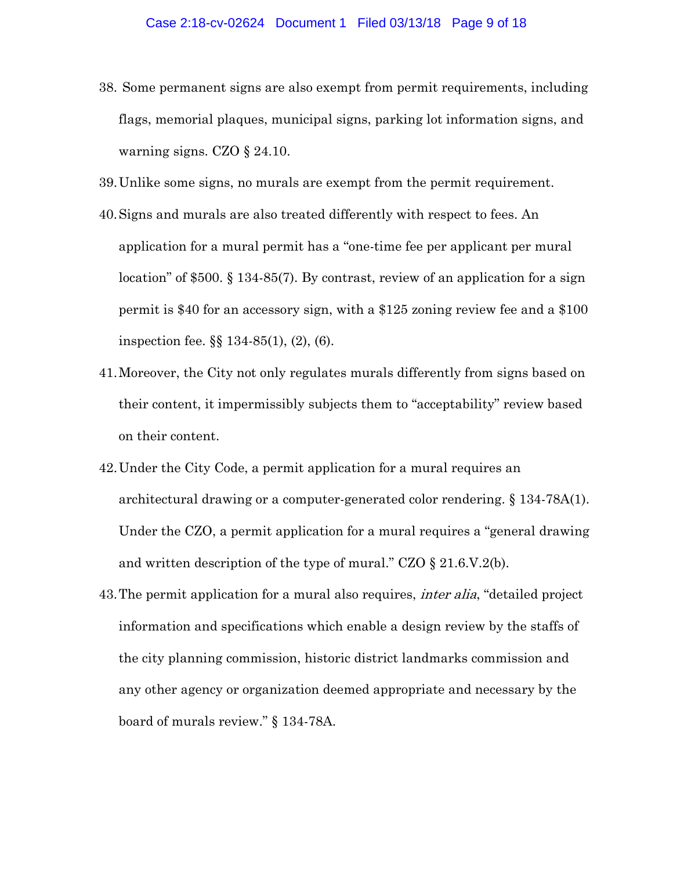- 38. Some permanent signs are also exempt from permit requirements, including flags, memorial plaques, municipal signs, parking lot information signs, and warning signs. CZO § 24.10.
- 39.Unlike some signs, no murals are exempt from the permit requirement.
- 40.Signs and murals are also treated differently with respect to fees. An application for a mural permit has a "one-time fee per applicant per mural location" of \$500. § 134-85(7). By contrast, review of an application for a sign permit is \$40 for an accessory sign, with a \$125 zoning review fee and a \$100 inspection fee. §§ 134-85(1), (2), (6).
- 41.Moreover, the City not only regulates murals differently from signs based on their content, it impermissibly subjects them to "acceptability" review based on their content.
- 42.Under the City Code, a permit application for a mural requires an architectural drawing or a computer-generated color rendering. § 134-78A(1). Under the CZO, a permit application for a mural requires a "general drawing and written description of the type of mural." CZO § 21.6.V.2(b).
- 43. The permit application for a mural also requires, *inter alia*, "detailed project" information and specifications which enable a design review by the staffs of the city planning commission, historic district landmarks commission and any other agency or organization deemed appropriate and necessary by the board of murals review." § 134-78A.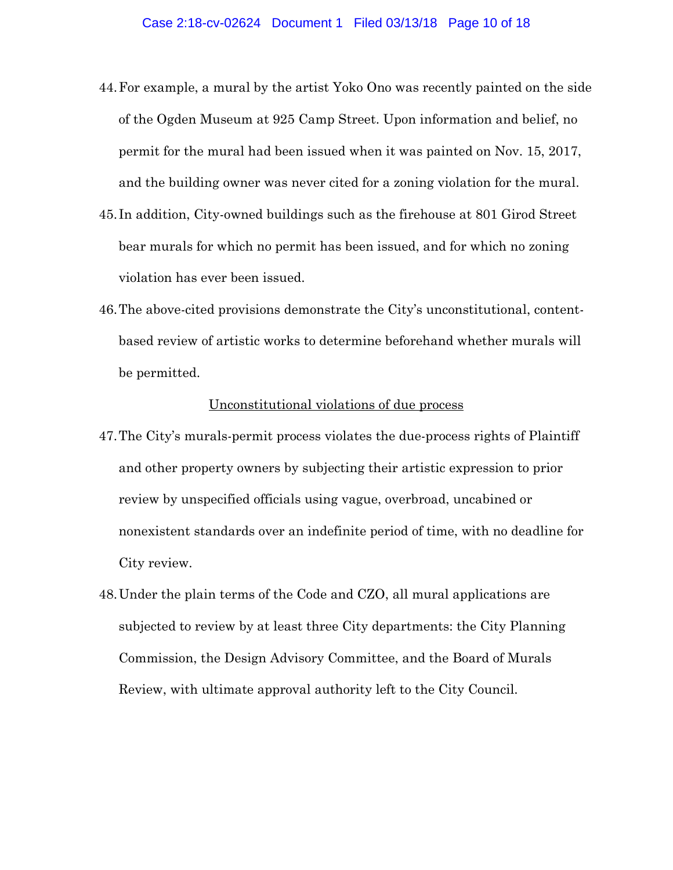- 44.For example, a mural by the artist Yoko Ono was recently painted on the side of the Ogden Museum at 925 Camp Street. Upon information and belief, no permit for the mural had been issued when it was painted on Nov. 15, 2017, and the building owner was never cited for a zoning violation for the mural.
- 45. In addition, City-owned buildings such as the firehouse at 801 Girod Street bear murals for which no permit has been issued, and for which no zoning violation has ever been issued.
- 46.The above-cited provisions demonstrate the City's unconstitutional, contentbased review of artistic works to determine beforehand whether murals will be permitted.

## Unconstitutional violations of due process

- 47.The City's murals-permit process violates the due-process rights of Plaintiff and other property owners by subjecting their artistic expression to prior review by unspecified officials using vague, overbroad, uncabined or nonexistent standards over an indefinite period of time, with no deadline for City review.
- 48.Under the plain terms of the Code and CZO, all mural applications are subjected to review by at least three City departments: the City Planning Commission, the Design Advisory Committee, and the Board of Murals Review, with ultimate approval authority left to the City Council.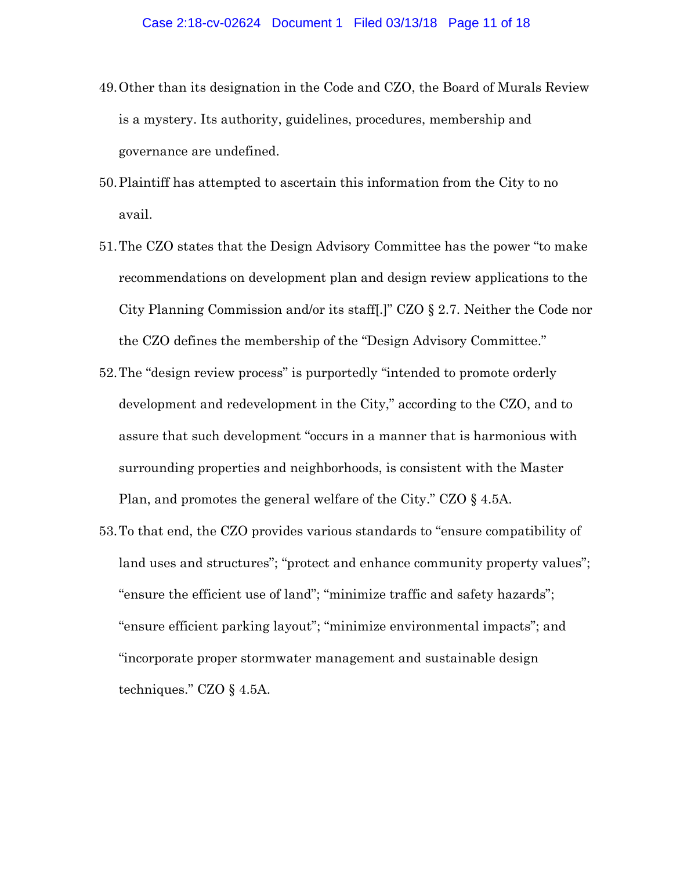- 49.Other than its designation in the Code and CZO, the Board of Murals Review is a mystery. Its authority, guidelines, procedures, membership and governance are undefined.
- 50.Plaintiff has attempted to ascertain this information from the City to no avail.
- 51.The CZO states that the Design Advisory Committee has the power "to make recommendations on development plan and design review applications to the City Planning Commission and/or its staff[.]" CZO § 2.7. Neither the Code nor the CZO defines the membership of the "Design Advisory Committee."
- 52.The "design review process" is purportedly "intended to promote orderly development and redevelopment in the City," according to the CZO, and to assure that such development "occurs in a manner that is harmonious with surrounding properties and neighborhoods, is consistent with the Master Plan, and promotes the general welfare of the City." CZO § 4.5A.
- 53.To that end, the CZO provides various standards to "ensure compatibility of land uses and structures"; "protect and enhance community property values"; "ensure the efficient use of land"; "minimize traffic and safety hazards"; "ensure efficient parking layout"; "minimize environmental impacts"; and "incorporate proper stormwater management and sustainable design techniques." CZO § 4.5A.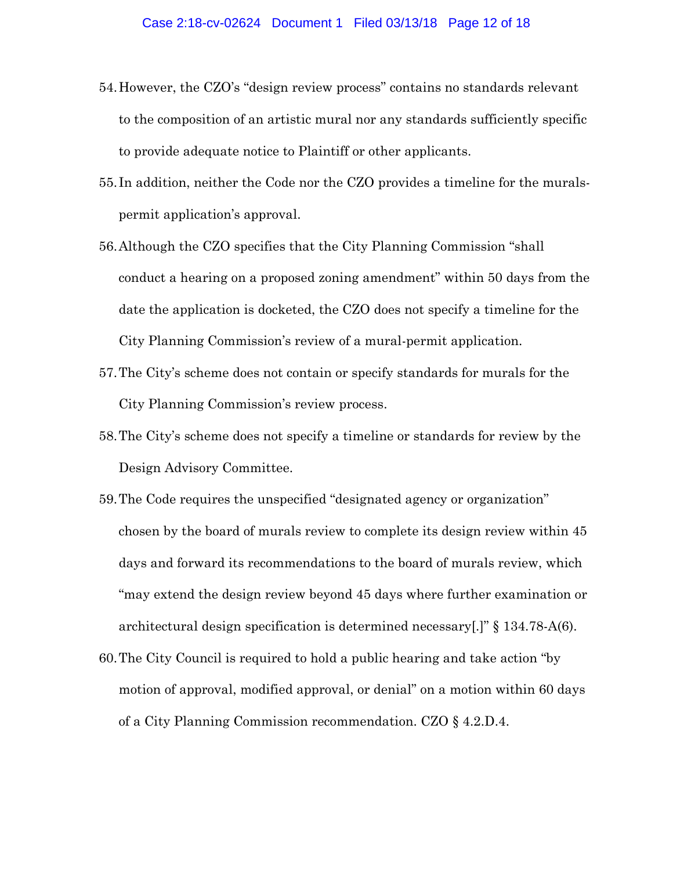- 54.However, the CZO's "design review process" contains no standards relevant to the composition of an artistic mural nor any standards sufficiently specific to provide adequate notice to Plaintiff or other applicants.
- 55. In addition, neither the Code nor the CZO provides a timeline for the muralspermit application's approval.
- 56.Although the CZO specifies that the City Planning Commission "shall conduct a hearing on a proposed zoning amendment" within 50 days from the date the application is docketed, the CZO does not specify a timeline for the City Planning Commission's review of a mural-permit application.
- 57.The City's scheme does not contain or specify standards for murals for the City Planning Commission's review process.
- 58.The City's scheme does not specify a timeline or standards for review by the Design Advisory Committee.
- 59.The Code requires the unspecified "designated agency or organization" chosen by the board of murals review to complete its design review within 45 days and forward its recommendations to the board of murals review, which "may extend the design review beyond 45 days where further examination or architectural design specification is determined necessary[.]" § 134.78-A(6).
- 60.The City Council is required to hold a public hearing and take action "by motion of approval, modified approval, or denial" on a motion within 60 days of a City Planning Commission recommendation. CZO § 4.2.D.4.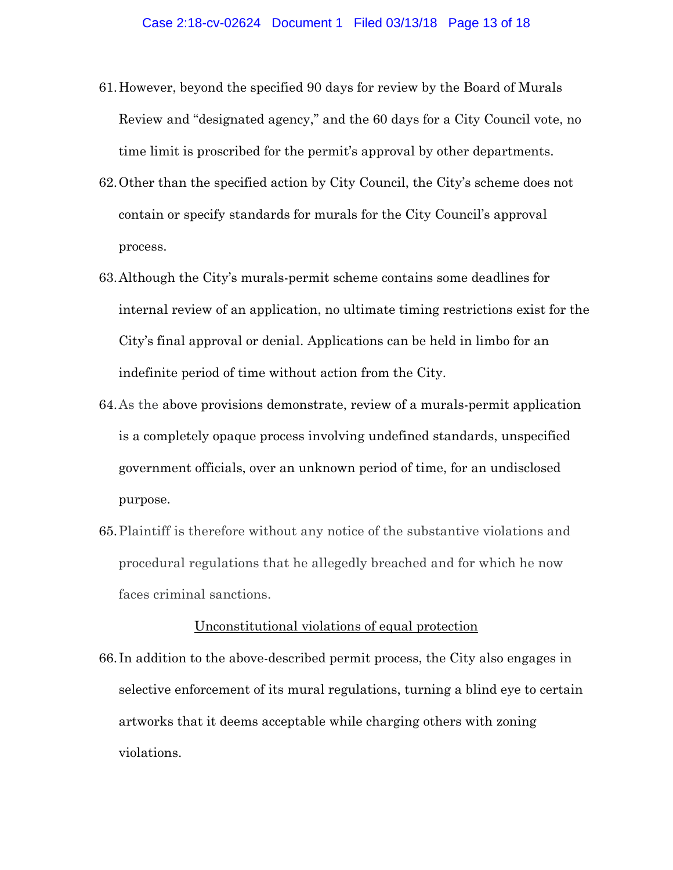- 61.However, beyond the specified 90 days for review by the Board of Murals Review and "designated agency," and the 60 days for a City Council vote, no time limit is proscribed for the permit's approval by other departments.
- 62.Other than the specified action by City Council, the City's scheme does not contain or specify standards for murals for the City Council's approval process.
- 63.Although the City's murals-permit scheme contains some deadlines for internal review of an application, no ultimate timing restrictions exist for the City's final approval or denial. Applications can be held in limbo for an indefinite period of time without action from the City.
- 64.As the above provisions demonstrate, review of a murals-permit application is a completely opaque process involving undefined standards, unspecified government officials, over an unknown period of time, for an undisclosed purpose.
- 65.Plaintiff is therefore without any notice of the substantive violations and procedural regulations that he allegedly breached and for which he now faces criminal sanctions.

### Unconstitutional violations of equal protection

66. In addition to the above-described permit process, the City also engages in selective enforcement of its mural regulations, turning a blind eye to certain artworks that it deems acceptable while charging others with zoning violations.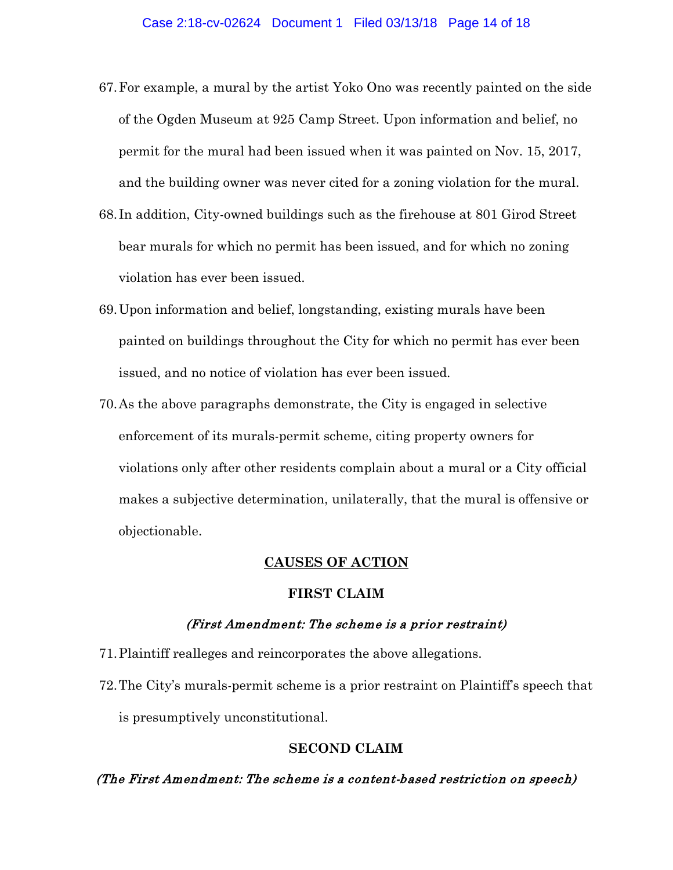- 67.For example, a mural by the artist Yoko Ono was recently painted on the side of the Ogden Museum at 925 Camp Street. Upon information and belief, no permit for the mural had been issued when it was painted on Nov. 15, 2017, and the building owner was never cited for a zoning violation for the mural.
- 68. In addition, City-owned buildings such as the firehouse at 801 Girod Street bear murals for which no permit has been issued, and for which no zoning violation has ever been issued.
- 69.Upon information and belief, longstanding, existing murals have been painted on buildings throughout the City for which no permit has ever been issued, and no notice of violation has ever been issued.
- 70.As the above paragraphs demonstrate, the City is engaged in selective enforcement of its murals-permit scheme, citing property owners for violations only after other residents complain about a mural or a City official makes a subjective determination, unilaterally, that the mural is offensive or objectionable.

## **CAUSES OF ACTION**

#### **FIRST CLAIM**

#### (First Amendment: The scheme is a prior restraint)

- 71.Plaintiff realleges and reincorporates the above allegations.
- 72.The City's murals-permit scheme is a prior restraint on Plaintiff's speech that is presumptively unconstitutional.

### **SECOND CLAIM**

## (The First Amendment: The scheme is a content-based restriction on speech)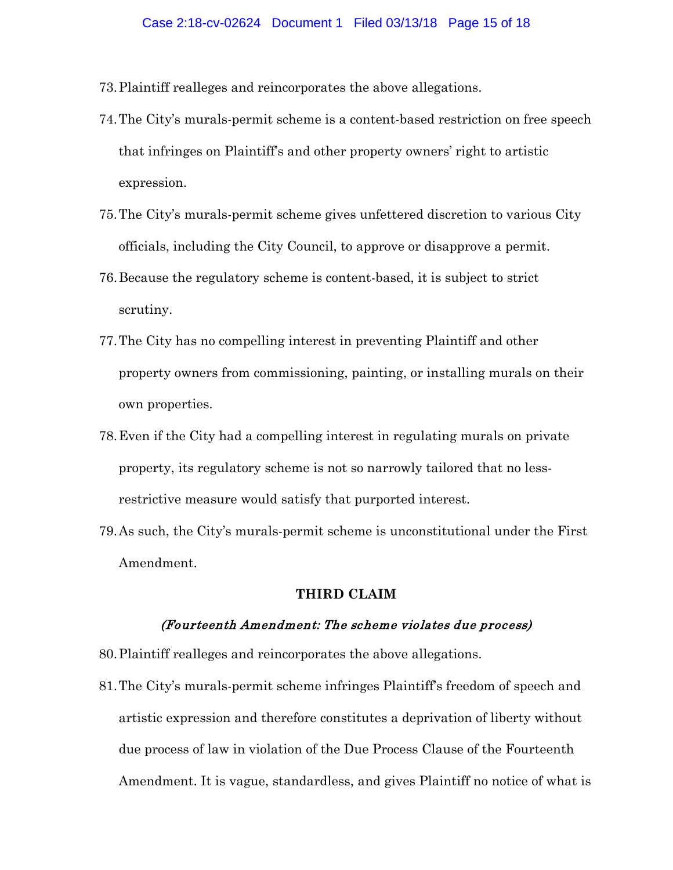- 73.Plaintiff realleges and reincorporates the above allegations.
- 74.The City's murals-permit scheme is a content-based restriction on free speech that infringes on Plaintiff's and other property owners' right to artistic expression.
- 75.The City's murals-permit scheme gives unfettered discretion to various City officials, including the City Council, to approve or disapprove a permit.
- 76.Because the regulatory scheme is content-based, it is subject to strict scrutiny.
- 77.The City has no compelling interest in preventing Plaintiff and other property owners from commissioning, painting, or installing murals on their own properties.
- 78.Even if the City had a compelling interest in regulating murals on private property, its regulatory scheme is not so narrowly tailored that no lessrestrictive measure would satisfy that purported interest.
- 79.As such, the City's murals-permit scheme is unconstitutional under the First Amendment.

## **THIRD CLAIM**

### (Fourteenth Amendment: The scheme violates due process)

- 80.Plaintiff realleges and reincorporates the above allegations.
- 81.The City's murals-permit scheme infringes Plaintiff's freedom of speech and artistic expression and therefore constitutes a deprivation of liberty without due process of law in violation of the Due Process Clause of the Fourteenth Amendment. It is vague, standardless, and gives Plaintiff no notice of what is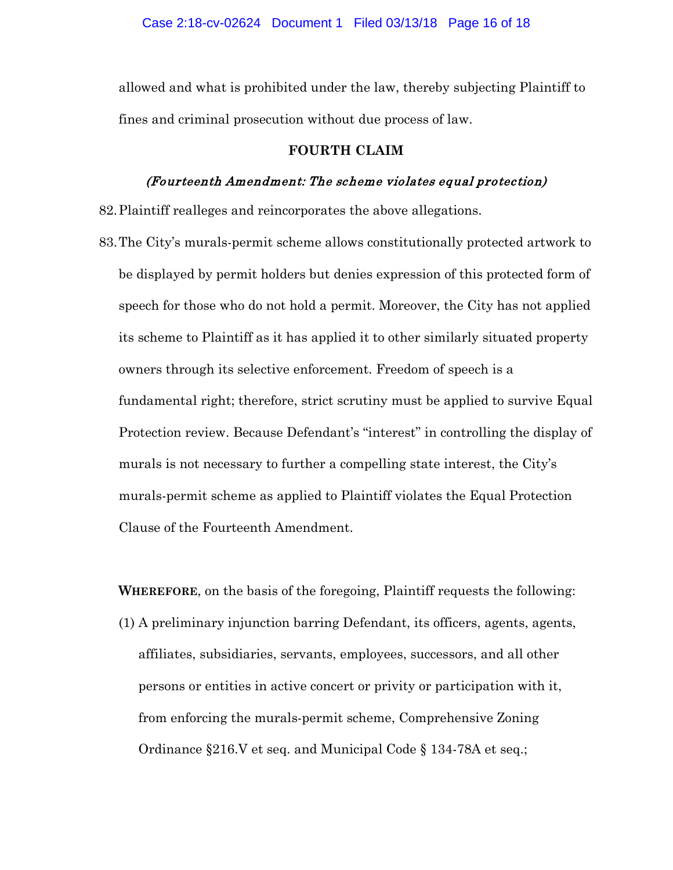allowed and what is prohibited under the law, thereby subjecting Plaintiff to fines and criminal prosecution without due process of law.

#### **FOURTH CLAIM**

### (Fourteenth Amendment: The scheme violates equal protection)

82.Plaintiff realleges and reincorporates the above allegations.

83.The City's murals-permit scheme allows constitutionally protected artwork to be displayed by permit holders but denies expression of this protected form of speech for those who do not hold a permit. Moreover, the City has not applied its scheme to Plaintiff as it has applied it to other similarly situated property owners through its selective enforcement. Freedom of speech is a fundamental right; therefore, strict scrutiny must be applied to survive Equal Protection review. Because Defendant's "interest" in controlling the display of murals is not necessary to further a compelling state interest, the City's murals-permit scheme as applied to Plaintiff violates the Equal Protection Clause of the Fourteenth Amendment.

**WHEREFORE**, on the basis of the foregoing, Plaintiff requests the following:

(1) A preliminary injunction barring Defendant, its officers, agents, agents, affiliates, subsidiaries, servants, employees, successors, and all other persons or entities in active concert or privity or participation with it, from enforcing the murals-permit scheme, Comprehensive Zoning Ordinance §216.V et seq. and Municipal Code § 134-78A et seq.;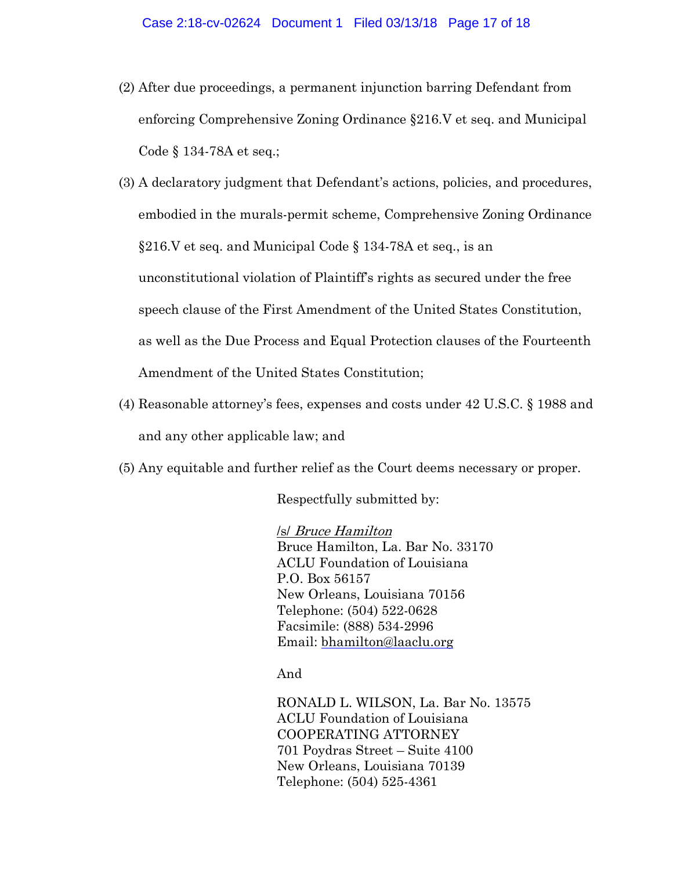(2) After due proceedings, a permanent injunction barring Defendant from enforcing Comprehensive Zoning Ordinance §216.V et seq. and Municipal Code § 134-78A et seq.;

(3) A declaratory judgment that Defendant's actions, policies, and procedures, embodied in the murals-permit scheme, Comprehensive Zoning Ordinance §216.V et seq. and Municipal Code § 134-78A et seq., is an unconstitutional violation of Plaintiff's rights as secured under the free speech clause of the First Amendment of the United States Constitution, as well as the Due Process and Equal Protection clauses of the Fourteenth Amendment of the United States Constitution;

- (4) Reasonable attorney's fees, expenses and costs under 42 U.S.C. § 1988 and and any other applicable law; and
- (5) Any equitable and further relief as the Court deems necessary or proper.

Respectfully submitted by:

/s/ Bruce Hamilton Bruce Hamilton, La. Bar No. 33170 ACLU Foundation of Louisiana P.O. Box 56157 New Orleans, Louisiana 70156 Telephone: (504) 522-0628 Facsimile: (888) 534-2996 Email: [bhamilton@laaclu.org](mailto:bhamilton@laaclu.org)

And

RONALD L. WILSON, La. Bar No. 13575 ACLU Foundation of Louisiana COOPERATING ATTORNEY 701 Poydras Street – Suite 4100 New Orleans, Louisiana 70139 Telephone: (504) 525-4361